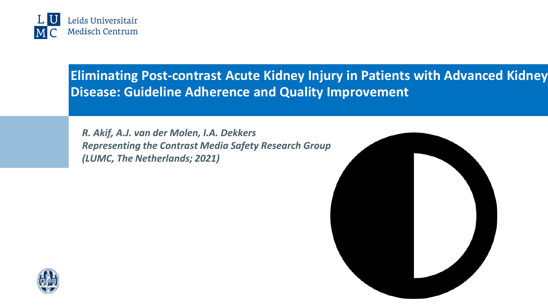

**Eliminating Post-contrast Acute Kidney Injury in Patients with Advanced Kidney Disease: Guideline Adherence and Quality Improvement**

*R. Akif, A.J. van der Molen, I.A. Dekkers Representing the Contrast Media Safety Research Group (LUMC, The Netherlands; 2021)*



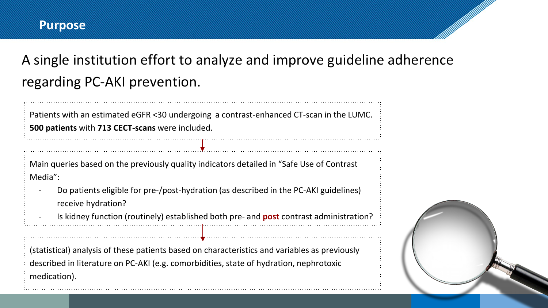### **Purpose**

A single institution effort to analyze and improve guideline adherence regarding PC-AKI prevention.

Patients with an estimated eGFR <30 undergoing a contrast-enhanced CT-scan in the LUMC. **500 patients** with **713 CECT-scans** were included.

Main queries based on the previously quality indicators detailed in "Safe Use of Contrast Media":

- Do patients eligible for pre-/post-hydration (as described in the PC-AKI guidelines) receive hydration?
- Is kidney function (routinely) established both pre- and **post** contrast administration?

(statistical) analysis of these patients based on characteristics and variables as previously described in literature on PC-AKI (e.g. comorbidities, state of hydration, nephrotoxic medication).

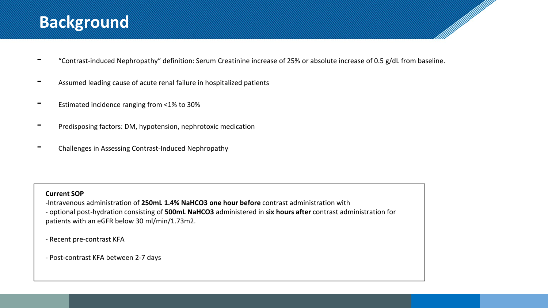# **Background**

- "Contrast-induced Nephropathy" definition: Serum Creatinine increase of 25% or absolute increase of 0.5 g/dL from baseline.

and a family of the contract of the contract of the contract of the contract of the contract of the contract o

- Assumed leading cause of acute renal failure in hospitalized patients
- Estimated incidence ranging from <1% to 30%
- Predisposing factors: DM, hypotension, nephrotoxic medication
- Challenges in Assessing Contrast-Induced Nephropathy

#### **Current SOP**

-Intravenous administration of **250mL 1.4% NaHCO3 one hour before** contrast administration with - optional post-hydration consisting of **500mL NaHCO3** administered in **six hours after** contrast administration for patients with an eGFR below 30 ml/min/1.73m2.

- Recent pre-contrast KFA

- Post-contrast KFA between 2-7 days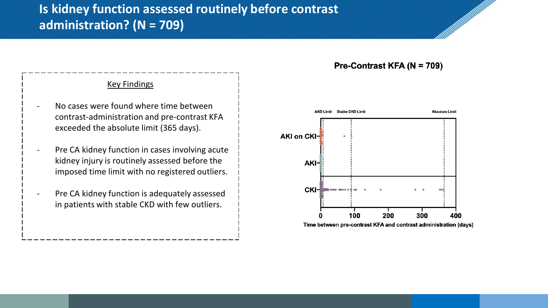## **Is kidney function assessed routinely before contrast administration? (N = 709)**

### Key Findings

- No cases were found where time between contrast-administration and pre-contrast KFA exceeded the absolute limit (365 days).
- Pre CA kidney function in cases involving acute kidney injury is routinely assessed before the imposed time limit with no registered outliers.
- Pre CA kidney function is adequately assessed in patients with stable CKD with few outliers.

#### Pre-Contrast KFA (N = 709)

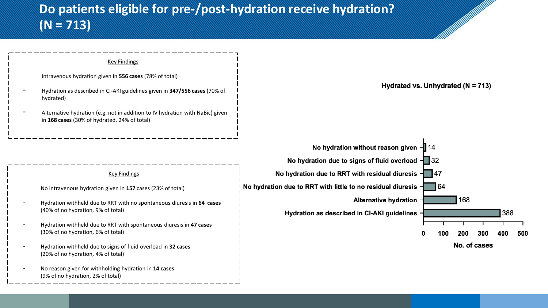

(9% of no hydration, 2% of total)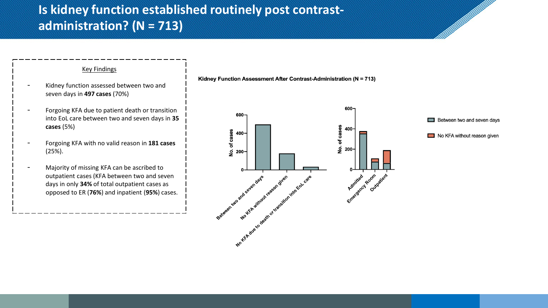## **Is kidney function established routinely post contrastadministration? (N = 713)**

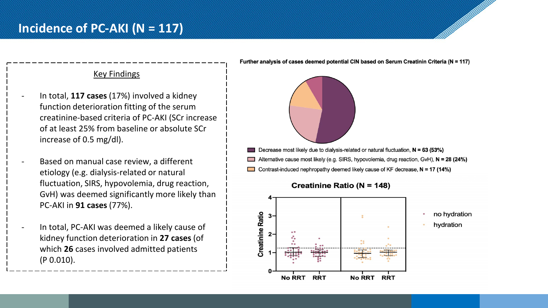

- In total, **117 cases** (17%) involved a kidney function deterioration fitting of the serum creatinine-based criteria of PC-AKI (SCr increase of at least 25% from baseline or absolute SCr increase of 0.5 mg/dl).
- Based on manual case review, a different etiology (e.g. dialysis-related or natural fluctuation, SIRS, hypovolemia, drug reaction, GvH) was deemed significantly more likely than PC-AKI in **91 cases** (77%).
- In total, PC-AKI was deemed a likely cause of kidney function deterioration in **27 cases** (of which **26** cases involved admitted patients (P 0.010).

Further analysis of cases deemed potential CIN based on Serum Creatinin Criteria (N = 117)



- Decrease most likely due to dialysis-related or natural fluctuation,  $N = 63$  (53%)
- Alternative cause most likely (e.g. SIRS, hypovolemia, drug reaction, GvH), N = 28 (24%)
- Contrast-induced nephropathy deemed likely cause of KF decrease,  $N = 17$  (14%)

**Creatinine Ratio (N = 148)** 



- no hydration
- hydration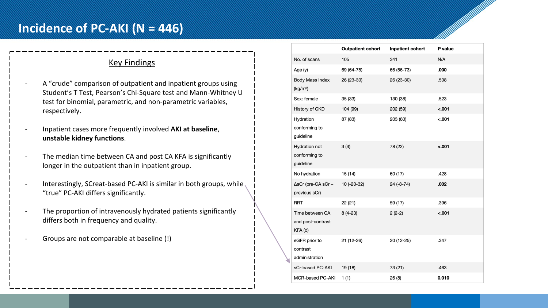### **Key Findings**

- A "crude" comparison of outpatient and inpatient groups using Student's T Test, Pearson's Chi-Square test and Mann-Whitney U test for binomial, parametric, and non-parametric variables, respectively.
- Inpatient cases more frequently involved **AKI at baseline**, **unstable kidney functions**.
- The median time between CA and post CA KFA is significantly longer in the outpatient than in inpatient group.
- Interestingly, SCreat-based PC-AKI is similar in both groups, while "true" PC-AKI differs significantly.
- The proportion of intravenously hydrated patients significantly differs both in frequency and quality.
- Groups are not comparable at baseline (!)

|                                                    | <b>Outpatient cohort</b> | Inpatient cohort | P value |
|----------------------------------------------------|--------------------------|------------------|---------|
| No. of scans                                       | 105                      | 341              | N/A     |
| Age (y)                                            | 69 (64-75)               | 66 (56-73)       | .000    |
| <b>Body Mass Index</b><br>(kg/m <sup>2</sup> )     | 26 (23-30)               | 26 (23-30)       | .508    |
| Sex: female                                        | 35 (33)                  | 130 (38)         | .523    |
| History of CKD                                     | 104 (99)                 | 202 (59)         | $-.001$ |
| Hydration<br>conforming to<br>guideline            | 87 (83)                  | 203 (60)         | $-.001$ |
| <b>Hydration not</b><br>conforming to<br>guideline | 3(3)                     | 78 (22)          | $-.001$ |
| No hydration                                       | 15 (14)                  | 60 (17)          | .428    |
| $\Delta$ sCr (pre-CA sCr –<br>previous sCr)        | 10 (-20-32)              | $24(-8-74)$      | .002    |
| <b>RRT</b>                                         | 22 (21)                  | 59 (17)          | .396    |
| Time between CA<br>and post-contrast<br>KFA (d)    | $8(4-23)$                | $2(2-2)$         | $-.001$ |
| eGFR prior to<br>contrast<br>administration<br>ı   | 21 (12-26)               | 20 (12-25)       | .347    |
| sCr-based PC-AKI                                   | 19 (18)                  | 73 (21)          | .463    |
| MCR-based PC-AKI                                   | 1(1)                     | 26(8)            | 0.010   |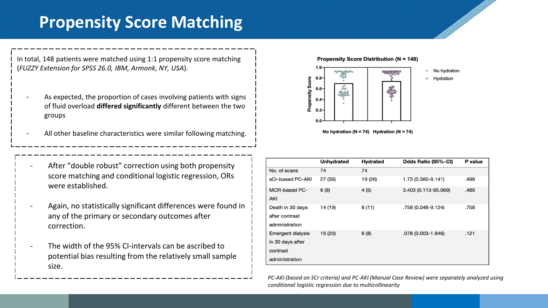# **Propensity Score Matching**

In total, 148 patients were matched using 1:1 propensity score matching (*FUZZY Extension for SPSS 26.0, IBM, Armonk, NY, USA*).

- As expected, the proportion of cases involving patients with signs of fluid overload **differed significantly** different between the two groups
- All other baseline characteristics were similar following matching.
- After "double robust" correction using both propensity score matching and conditional logistic regression, ORs were established.
- Again, no statistically significant differences were found in any of the primary or secondary outcomes after correction.
- The width of the 95% CI-intervals can be ascribed to potential bias resulting from the relatively small sample size.





No hydration ( $N = 74$ ) Hydration ( $N = 74$ )

|                                                                            | <b>Unhydrated</b> | <b>Hydrated</b> | Odds Ratio (95%-CI)  | P value |
|----------------------------------------------------------------------------|-------------------|-----------------|----------------------|---------|
| No. of scans                                                               | 74                | 74              |                      |         |
| sCr-based PC-AKI                                                           | 27 (36)           | 19 (26)         | 1.73 (0.360-8.141)   | .498    |
| MCR-based PC-<br>AKI                                                       | 6(8)              | 4(5)            | 3.403 (0.113-95.069) | .489    |
| Death in 30 days<br>after contrast<br>administration                       | 14 (19)           | 8(11)           | .758 (0.048-9.124)   | .758    |
| <b>Emergent dialysis</b><br>in 30 days after<br>contrast<br>administration | 15 (20)           | 6(8)            | .078 (0.003-1.946)   | .121    |

*PC-AKI (based on SCr criteria) and PC-AKI (Manual Case Review) were separately analyzed using conditional logistic regression due to multicollinearity*